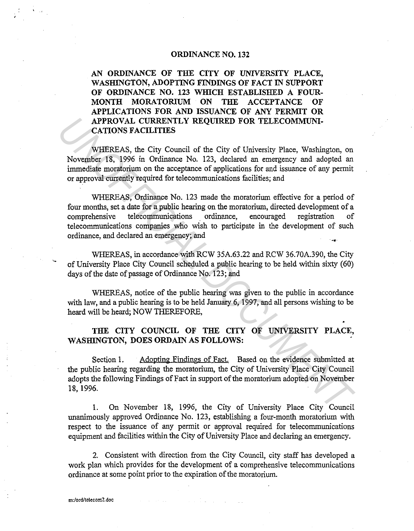## **ORDINANCE NO. 132**

**AN ORDINANCE OF THE CITY OF UNIVERSITY PLACE, WASHINGTON, ADOPTING FINDINGS OF FACT IN SUPPORT OF ORDINANCE NO. 123 WHICH ESTABLISHED A FOUR-MONTH MORATORIUM ON THE ACCEPTANCE OF APPLICATIONS FOR AND ISSUANCE OF ANY PERMIT OR APPROVAL CURRENTLY REQUIRED FOR TELECOMMUNI-CATIONS FACILITIES** 

WHEREAS, the City Council of the City of University Place, Washington, on November 18, 1996 in Ordinance No. 123, declared an emergency and adopted an immediate moratorium on the acceptance of applications for and issuance of any permit or approval currently required for telecommunications facilities; and

WHEREAS, Ordinance No. 123 made the moratorium effective for a period of four months, set a date for a public hearing on the moratorium, directed development of a comprehensive telecommunications ordinance, encouraged registration of telecommunications companies who wish to participate in the development of such ordinance, and declared an emergency; and **APPROVAL CURRENTLY REQUIRED FOR TELECOMMUNI-**<br> **CATTONS FACILITTES**<br> **WHEREAS, the City of University Place, Washington, on**<br> **Wovember 18, 1996 in Ordinance No. 123, declared an emergency and adopted an**<br> **immediate mora** 

WHEREAS, in accordance with RCW 35A.63.22 and RCW 36.70A.390, the City of University Place City Council scheduled a public hearing to be held within sixty (60) days of the date of passage of Ordinance No. 123; and

WHEREAS, notice of the public hearing was given to the public in accordance with law, and a public hearing is to be held January 6, 1997, and all persons wishing to be heard will be heard; NOW THEREFORE,

**THE CITY COUNCIL OF THE CITY OF UNIVERSITY PLACE, WASHINGTON, DOES ORDAIN AS FOLLOWS:** 

Section 1. Adopting Findings of Fact. Based on the evidence submitted at the public hearing regarding the moratorium, the City of University Place City Council adopts the following Findings of Fact in support of the moratorium adopted on November 18, 1996.

**1.** On November 18, 1996, the City of University Place City Council unanimously approved Ordinance No. 123, establishing a four-month moratorium with respect to the issuance of any permit or approval required for telecommunications equipment and facilities within the City of University Place and declaring an emergency.

2. Consistent with direction from the City Council, city staff has developed a work plan which provides for the development of a comprehensive telecommunications ordinance at some point prior to the expiration of the moratorium.

·-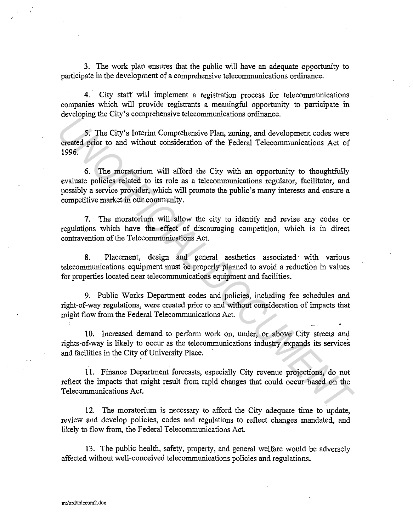3. The work plan ensures that the public will have an adequate opportunity to participate in the development of a comprehensive telecommunications ordinance.

4. City staff will implement a registration process for telecommunications companies which will provide registrants a meaningful opportunity to participate in developing the City's comprehensive telecommunications ordinance.

5. The City's Interim Comprehensive Plan, zoning, and development codes were created prior to and without consideration of the Federal Telecommunications Act of 1996.

6. The moratorium will afford the City with an opportunity to thoughtfully evaluate policies related to its role as a telecommunications regulator, facilitator, and possibly a service provider, which will promote the public's many interests and ensure a competitive market in our community. **Excession** Solution Competensial Consideration and the competency of the Crity's Interim Competensive Plan, zoning, and development codes were<br> **Crick** of the moratorium will afford the City with an opportunity to thought

7. The moratorium will allow the city to identify and revise any codes or regulations which have the effect of discouraging competition, which is in direct contravention of the Telecommunications Act.

8. Placement, design and general aesthetics associated with various telecommunications equipment must be properly planned to avoid a reduction in values for properties located near telecommunications equipment and facilities.

9. Public Works Department codes and policies, including fee schedules and right-of-way regulations, were created prior to and without consideration of impacts that might flow from the Federal Telecommunications Act.

10. Increased demand to perform work on, under, or above City streets and rights-of-way is likely to occur as the telecommunications industry expands its services and facilities in the City of University Place.

11. Finance Department forecasts, especially City revenue projections, do not reflect the impacts that might result from rapid changes that could occur based on the Telecommunications Act.

12. The moratorium is necessary to afford the City adequate time to update, review and develop policies, codes and regulations to reflect changes mandated, and likely to flow from, the Federal Telecommunications Act.

13. The public health, safefy; property, and general welfare would be adversely affected without well-conceived telecommunications policies and regulations.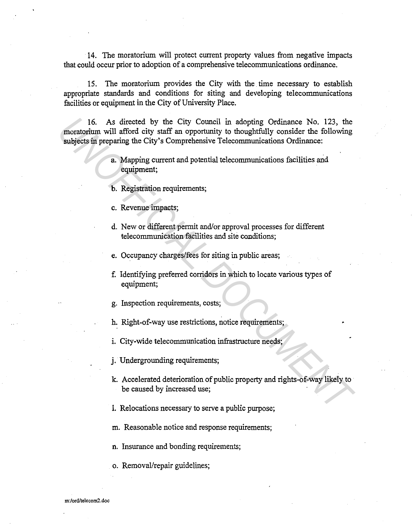14. The moratorium will protect current property values from negative impacts that could occur prior to adoption of a comprehensive telecommunications ordinance.

15. The moratorium provides the City with the time necessary to establish appropriate standards and conditions for siting and developing telecommunications facilities or equipment in the City of University Place.

16. As directed by the City Council in adopting Ordinance No. 123, the moratorium will afford city staff an opportunity to thoughtfully consider the following subjects in preparing the City's Comprehensive Telecommunications Ordinance: 16. As directed by the City Council in adopting Ordinance No. 123, the<br>
moratorium will afford city stiff an orportunity to thoughtfully consider the following<br>
subjects in proparing the City's Comprehensive Telecommunicat

- a. Mapping current and potential telecommunications facilities and equipment;
- b. Registration requirements;
- c. Revenue impacts;
- d. New or different permit and/or approval processes for different telecommunication facilities and site conditions;
- e. Occupancy charges/fees for siting in public areas;
- f. Identifying preferred corridors in which to locate various types of equipment;
- g. Inspection requirements, costs;
- h. Right-of-way use restrictions, notice requirements;
- i. City-wide telecommunication infrastructure needs;
- j. Undergrounding requirements;
- k. Accelerated deterioration of public property and rights-of-way likely to be caused by increased use;
- I. Relocations necessary to serve a public purpose;
- m. Reasonable notice and response requirements;
- n. Insurance and bonding requirements;
- o. Removal/repair guidelines;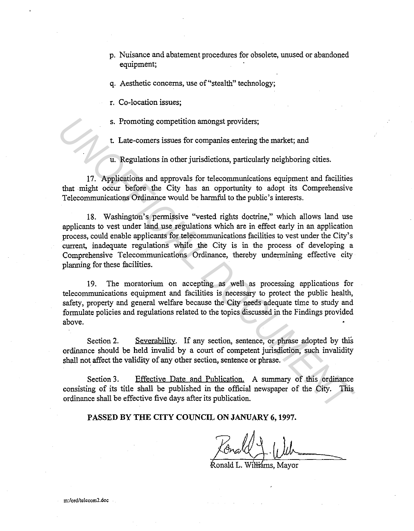- p. Nuisance and abatement procedures for obsolete, unused or abandoned equipment;
- q. Aesthetic concerns, use of"stealth" technology;

r. Co-location issues;

s. Promoting competition amongst providers;

t. Late-comers issues for companies entering the market; and

u. Regulations in other jurisdictions, particularly neighboring cities.

17. Applications and approvals for telecommunications equipment and facilities that might occur before the City has an opportunity to adopt its Comprehensive Telecommunications Ordinance would be harmful to the public's interests.

18. Washington's permissive "vested rights doctrine," which allows land use applicants to vest under land use regulations which are in effect early in an application process, could enable applicants for telecommunications facilities to vest under the City's current, inadequate regulations while the City is in the process of developing a Comprehensive Telecommunications Ordinance, thereby undermining effective city planning for these facilities. **Example 12** and the results of the branching of the solution and the solution of the City. The solution of the City and the matter is the solution of the solution of the solution of the solution of the communications of t

19. The moratorium on accepting as well as processing applications for telecommunications equipment and facilities is necessary to protect the public health, safety, property and general welfare because the City needs adequate time to study and formulate policies and regulations related to the topics discussed in the Findings provided above.

Section 2. Severability. If any section, sentence, or phrase adopted by this ordinance should be held invalid by a court of competent jurisdiction, such invalidity shall not affect the validity of any other section, sentence or phrase.

Section 3. Effective Date and Publication. A summary of this ordinance consisting of its title shall be published in the official newspaper of the City. This ordinance shall be effective five days after its publication.

PASSED BY THE CITY COUNCIL ON JANUARY 6, 1997.

Ronald L. Wil<del>li</del>ams. Mavor